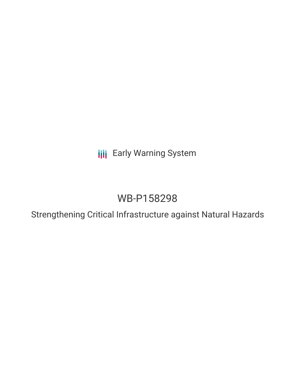**III** Early Warning System

# WB-P158298

Strengthening Critical Infrastructure against Natural Hazards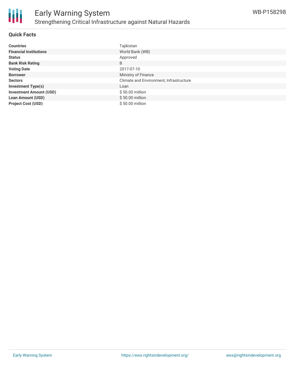

### **Quick Facts**

| <b>Countries</b>               | Tajikistan                              |
|--------------------------------|-----------------------------------------|
| <b>Financial Institutions</b>  | World Bank (WB)                         |
| <b>Status</b>                  | Approved                                |
| <b>Bank Risk Rating</b>        | B                                       |
| <b>Voting Date</b>             | 2017-07-10                              |
| <b>Borrower</b>                | Ministry of Finance                     |
| <b>Sectors</b>                 | Climate and Environment, Infrastructure |
| <b>Investment Type(s)</b>      | Loan                                    |
| <b>Investment Amount (USD)</b> | \$50.00 million                         |
| <b>Loan Amount (USD)</b>       | $$50.00$ million                        |
| <b>Project Cost (USD)</b>      | \$50.00 million                         |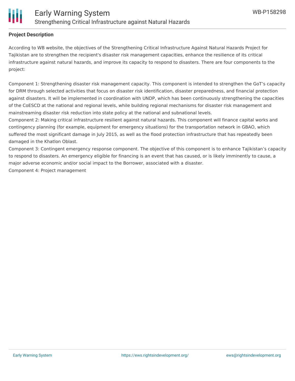

### **Project Description**

According to WB website, the objectives of the Strengthening Critical Infrastructure Against Natural Hazards Project for Tajikistan are to strengthen the recipient's disaster risk management capacities, enhance the resilience of its critical infrastructure against natural hazards, and improve its capacity to respond to disasters. There are four components to the project:

Component 1: Strengthening disaster risk management capacity. This component is intended to strengthen the GoT's capacity for DRM through selected activities that focus on disaster risk identification, disaster preparedness, and financial protection against disasters. It will be implemented in coordination with UNDP, which has been continuously strengthening the capacities of the CoESCD at the national and regional levels, while building regional mechanisms for disaster risk management and mainstreaming disaster risk reduction into state policy at the national and subnational levels.

Component 2: Making critical infrastructure resilient against natural hazards. This component will finance capital works and contingency planning (for example, equipment for emergency situations) for the transportation network in GBAO, which suffered the most significant damage in July 2015, as well as the flood protection infrastructure that has repeatedly been damaged in the Khatlon Oblast.

Component 3: Contingent emergency response component. The objective of this component is to enhance Tajikistan's capacity to respond to disasters. An emergency eligible for financing is an event that has caused, or is likely imminently to cause, a major adverse economic and/or social impact to the Borrower, associated with a disaster.

Component 4: Project management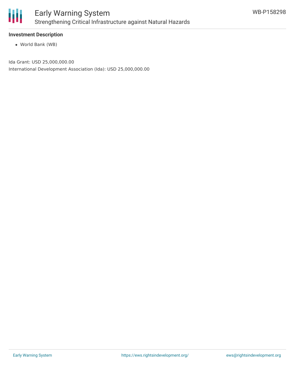

### **Investment Description**

World Bank (WB)

Ida Grant: USD 25,000,000.00

International Development Association (Ida): USD 25,000,000.00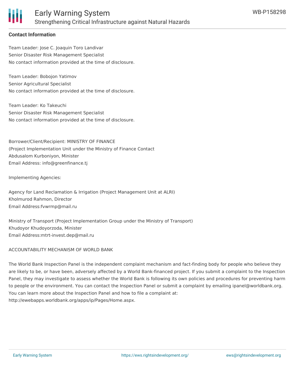

#### **Contact Information**

Team Leader: Jose C. Joaquin Toro Landivar Senior Disaster Risk Management Specialist No contact information provided at the time of disclosure.

Team Leader: Bobojon Yatimov Senior Agricultural Specialist No contact information provided at the time of disclosure.

Team Leader: Ko Takeuchi Senior Disaster Risk Management Specialist No contact information provided at the time of disclosure.

Borrower/Client/Recipient: MINISTRY OF FINANCE (Project Implementation Unit under the Ministry of Finance Contact Abdusalom Kurboniyon, Minister Email Address: info@greenfinance.tj

Implementing Agencies:

Agency for Land Reclamation & Irrigation (Project Management Unit at ALRI) Kholmurod Rahmon, Director Email Address:fvwrmp@mail.ru

Ministry of Transport (Project Implementation Group under the Ministry of Transport) Khudoyor Khudoyorzoda, Minister Email Address:mtrt-invest.dep@mail.ru

ACCOUNTABILITY MECHANISM OF WORLD BANK

The World Bank Inspection Panel is the independent complaint mechanism and fact-finding body for people who believe they are likely to be, or have been, adversely affected by a World Bank-financed project. If you submit a complaint to the Inspection Panel, they may investigate to assess whether the World Bank is following its own policies and procedures for preventing harm to people or the environment. You can contact the Inspection Panel or submit a complaint by emailing ipanel@worldbank.org. You can learn more about the Inspection Panel and how to file a complaint at: http://ewebapps.worldbank.org/apps/ip/Pages/Home.aspx.